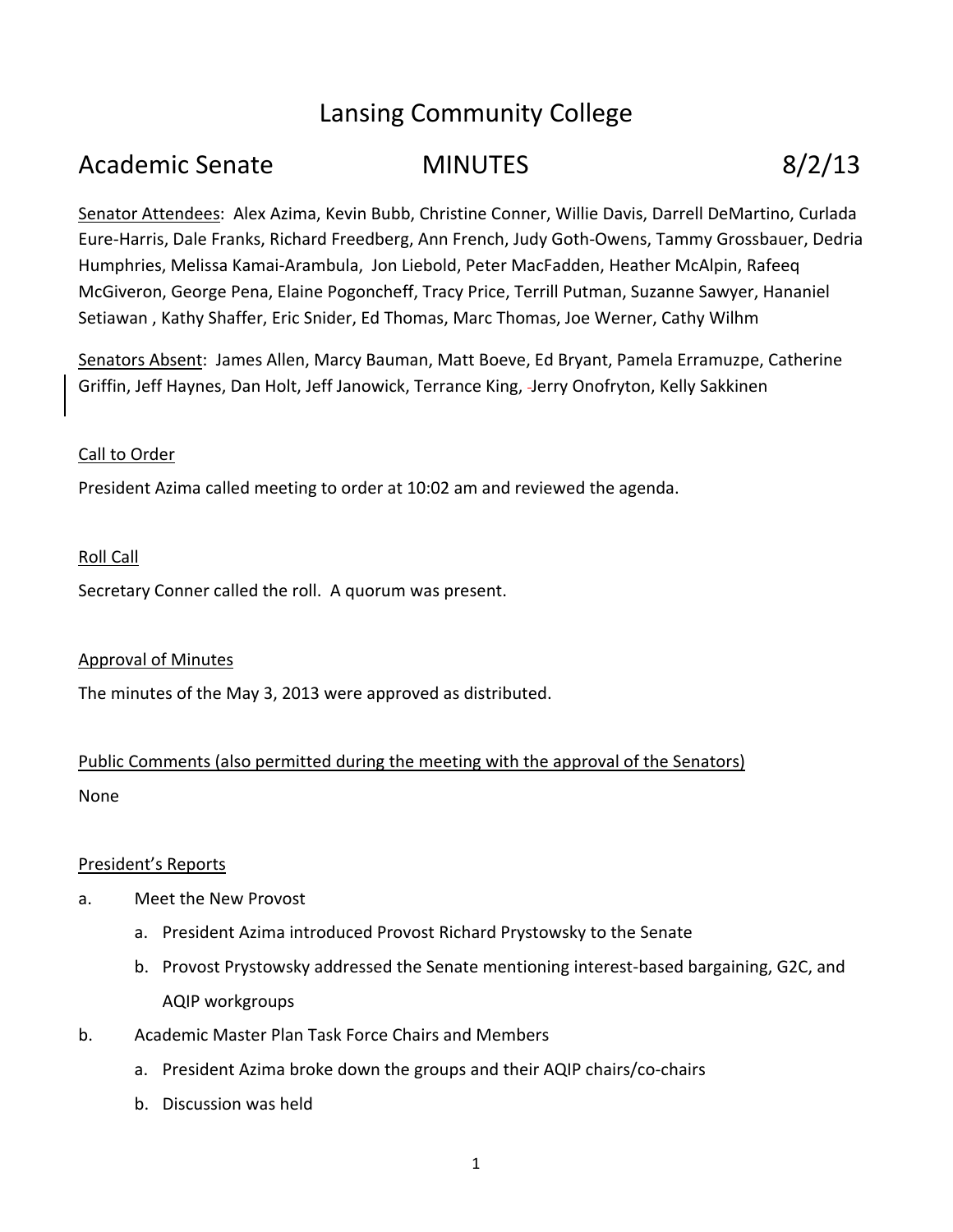# Lansing Community College

# Academic Senate **MINUTES** 8/2/13

Senator Attendees: Alex Azima, Kevin Bubb, Christine Conner, Willie Davis, Darrell DeMartino, Curlada Eure‐Harris, Dale Franks, Richard Freedberg, Ann French, Judy Goth‐Owens, Tammy Grossbauer, Dedria Humphries, Melissa Kamai‐Arambula, Jon Liebold, Peter MacFadden, Heather McAlpin, Rafeeq McGiveron, George Pena, Elaine Pogoncheff, Tracy Price, Terrill Putman, Suzanne Sawyer, Hananiel Setiawan , Kathy Shaffer, Eric Snider, Ed Thomas, Marc Thomas, Joe Werner, Cathy Wilhm

Senators Absent: James Allen, Marcy Bauman, Matt Boeve, Ed Bryant, Pamela Erramuzpe, Catherine Griffin, Jeff Haynes, Dan Holt, Jeff Janowick, Terrance King, Jerry Onofryton, Kelly Sakkinen

# Call to Order

President Azima called meeting to order at 10:02 am and reviewed the agenda.

#### Roll Call

Secretary Conner called the roll. A quorum was present.

#### Approval of Minutes

The minutes of the May 3, 2013 were approved as distributed.

# Public Comments (also permitted during the meeting with the approval of the Senators) None

#### President's Reports

- a. Meet the New Provost
	- a. President Azima introduced Provost Richard Prystowsky to the Senate
	- b. Provost Prystowsky addressed the Senate mentioning interest‐based bargaining, G2C, and AQIP workgroups
- b. Academic Master Plan Task Force Chairs and Members
	- a. President Azima broke down the groups and their AQIP chairs/co‐chairs
	- b. Discussion was held